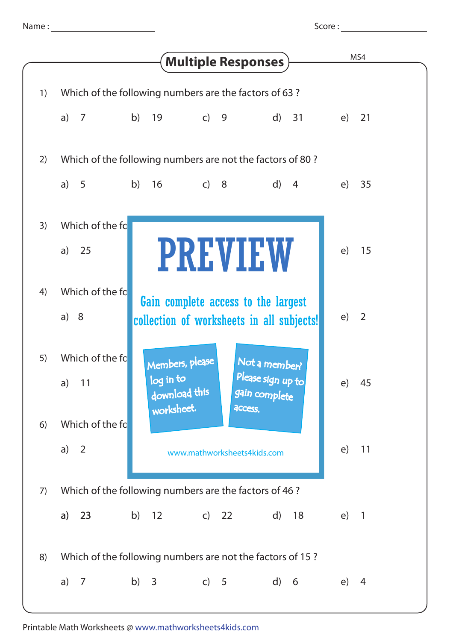Score :

|    |                                                           |                                                       | <b>Multiple Responses</b>                     | MS4                            |
|----|-----------------------------------------------------------|-------------------------------------------------------|-----------------------------------------------|--------------------------------|
| 1) |                                                           | Which of the following numbers are the factors of 63? |                                               |                                |
|    | a) $7$                                                    | b) 19<br>$\overline{c}$ 9                             | $\mathsf{d}$<br>31                            | 21<br>e)                       |
| 2) | Which of the following numbers are not the factors of 80? |                                                       |                                               |                                |
|    | a) $5$                                                    | b) 16<br>$\overline{c}$ 8                             | $\mathsf{d}$<br>$\overline{4}$                | 35<br>(e)                      |
| 3) | Which of the fc                                           |                                                       |                                               |                                |
|    | 25<br>a)                                                  |                                                       | <b>PREVIEW</b>                                | e)<br>15                       |
| 4) | Which of the fo                                           |                                                       | Gain complete access to the largest           |                                |
|    | a) $8$                                                    |                                                       | collection of worksheets in all subjects!     | e)<br>$\overline{2}$           |
| 5) | Which of the fc                                           | Members, please                                       | Not a member?                                 |                                |
|    | a) $11$                                                   | log in to<br>download this<br>worksheet.              | Please sign up to<br>gain complete<br>access. | e)<br>45                       |
| 6) | Which of the fc                                           |                                                       |                                               |                                |
|    | a) $2$                                                    |                                                       | www.mathworksheets4kids.com                   | e)<br>11                       |
| 7) | Which of the following numbers are the factors of 46 ?    |                                                       |                                               |                                |
|    | 23<br>a)                                                  | b) $12$<br>$\overline{c}$                             | 22<br>d)<br>18                                | e)<br>$\overline{\phantom{a}}$ |
| 8) | Which of the following numbers are not the factors of 15? |                                                       |                                               |                                |
|    | a) $7$                                                    | b) $3$                                                | c) 5<br>$\mathsf{d}$<br>$6\overline{6}$       | (e)<br>4                       |